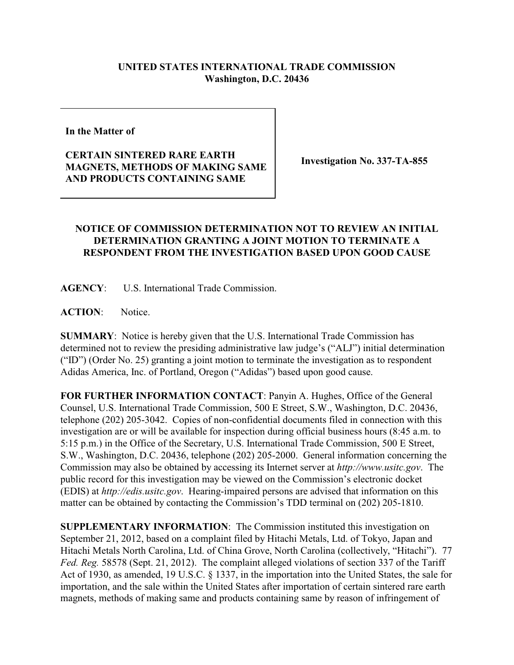## **UNITED STATES INTERNATIONAL TRADE COMMISSION Washington, D.C. 20436**

**In the Matter of** 

**CERTAIN SINTERED RARE EARTH MAGNETS, METHODS OF MAKING SAME AND PRODUCTS CONTAINING SAME**

**Investigation No. 337-TA-855**

## **NOTICE OF COMMISSION DETERMINATION NOT TO REVIEW AN INITIAL DETERMINATION GRANTING A JOINT MOTION TO TERMINATE A RESPONDENT FROM THE INVESTIGATION BASED UPON GOOD CAUSE**

**AGENCY**: U.S. International Trade Commission.

**ACTION**: Notice.

**SUMMARY**: Notice is hereby given that the U.S. International Trade Commission has determined not to review the presiding administrative law judge's ("ALJ") initial determination ("ID") (Order No. 25) granting a joint motion to terminate the investigation as to respondent Adidas America, Inc. of Portland, Oregon ("Adidas") based upon good cause.

**FOR FURTHER INFORMATION CONTACT**: Panyin A. Hughes, Office of the General Counsel, U.S. International Trade Commission, 500 E Street, S.W., Washington, D.C. 20436, telephone (202) 205-3042. Copies of non-confidential documents filed in connection with this investigation are or will be available for inspection during official business hours (8:45 a.m. to 5:15 p.m.) in the Office of the Secretary, U.S. International Trade Commission, 500 E Street, S.W., Washington, D.C. 20436, telephone (202) 205-2000. General information concerning the Commission may also be obtained by accessing its Internet server at *http://www.usitc.gov*. The public record for this investigation may be viewed on the Commission's electronic docket (EDIS) at *http://edis.usitc.gov*. Hearing-impaired persons are advised that information on this matter can be obtained by contacting the Commission's TDD terminal on (202) 205-1810.

**SUPPLEMENTARY INFORMATION:** The Commission instituted this investigation on September 21, 2012, based on a complaint filed by Hitachi Metals, Ltd. of Tokyo, Japan and Hitachi Metals North Carolina, Ltd. of China Grove, North Carolina (collectively, "Hitachi"). 77 *Fed. Reg.* 58578 (Sept. 21, 2012). The complaint alleged violations of section 337 of the Tariff Act of 1930, as amended, 19 U.S.C. § 1337, in the importation into the United States, the sale for importation, and the sale within the United States after importation of certain sintered rare earth magnets, methods of making same and products containing same by reason of infringement of